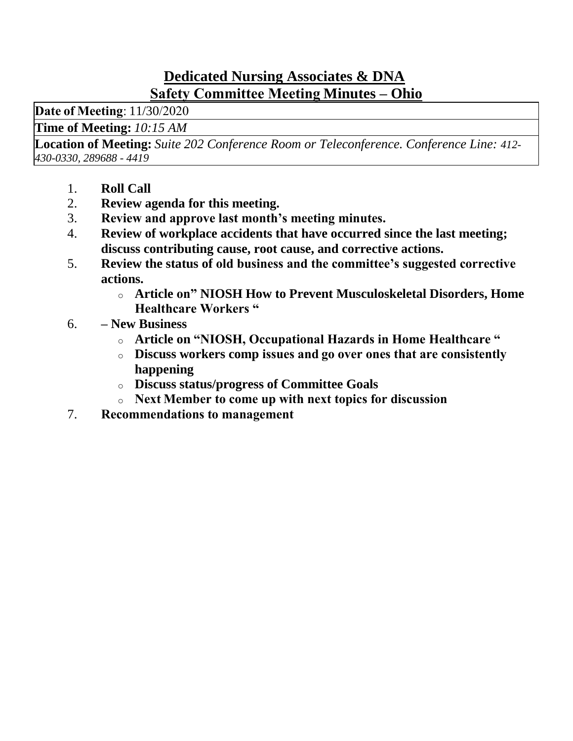### **Dedicated Nursing Associates & DNA Safety Committee Meeting Minutes – Ohio**

**Date of Meeting**: 11/30/2020 

**Time of Meeting:** *10:15 AM*

**Location of Meeting:** *Suite 202 Conference Room or Teleconference. Conference Line: 412- 430-0330, 289688 - 4419*

- 1. **Roll Call**
- 2. **Review agenda for this meeting.**
- 3. **Review and approve last month's meeting minutes.**
- 4. **Review of workplace accidents that have occurred since the last meeting; discuss contributing cause, root cause, and corrective actions.**
- 5. **Review the status of old business and the committee's suggested corrective actions.**
	- o **Article on" NIOSH How to Prevent Musculoskeletal Disorders, Home Healthcare Workers "**
- 6. **– New Business**
	- o **Article on "NIOSH, Occupational Hazards in Home Healthcare "**
	- o **Discuss workers comp issues and go over ones that are consistently happening**
	- o **Discuss status/progress of Committee Goals**
	- o **Next Member to come up with next topics for discussion**
- 7. **Recommendations to management**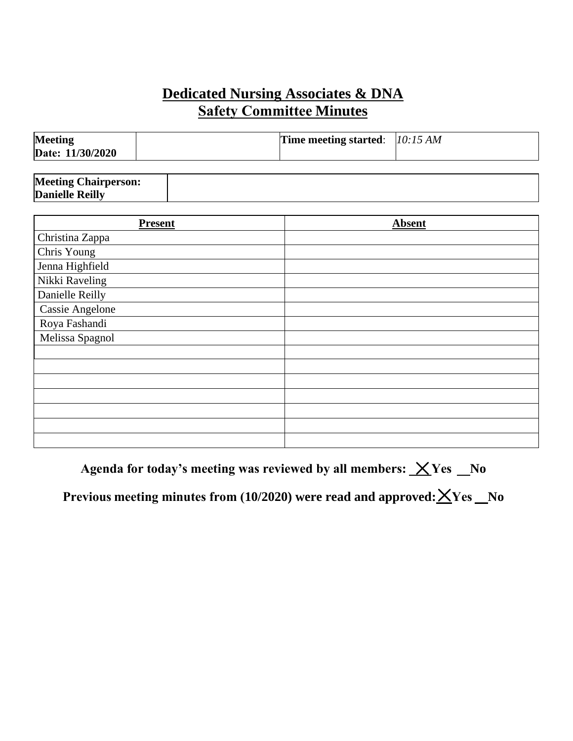# **Dedicated Nursing Associates & DNA Safety Committee Minutes**

| <b>Meeting</b><br>Date: 11/30/2020 | Time meeting started: $10:15 AM$ |  |
|------------------------------------|----------------------------------|--|
|                                    |                                  |  |

| <b>Meeting Chairperson:</b> |  |
|-----------------------------|--|
| <b>Danielle Reilly</b>      |  |

| <b>Present</b>         | <b>Absent</b> |
|------------------------|---------------|
| Christina Zappa        |               |
| Chris Young            |               |
| Jenna Highfield        |               |
| Nikki Raveling         |               |
| Danielle Reilly        |               |
| <b>Cassie Angelone</b> |               |
| Roya Fashandi          |               |
| Melissa Spagnol        |               |
|                        |               |
|                        |               |
|                        |               |
|                        |               |
|                        |               |
|                        |               |
|                        |               |

Agenda for today's meeting was reviewed by all members:  $X$ Yes No

Previous meeting minutes from (10/2020) were read and approved:  ${\bf \underline{X}}$ Yes \_No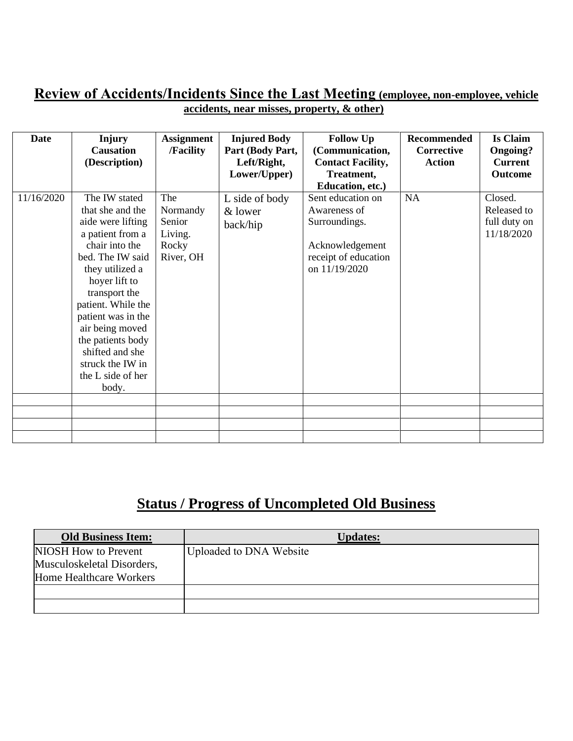#### **Review of Accidents/Incidents Since the Last Meeting (employee, non-employee, vehicle accidents, near misses, property, & other)**

| Date       | <b>Injury</b><br><b>Causation</b><br>(Description)                                                                                                                                                                                                                                                                             | <b>Assignment</b><br>/Facility                             | <b>Injured Body</b><br>Part (Body Part,<br>Left/Right,<br>Lower/Upper) | <b>Follow Up</b><br>(Communication,<br><b>Contact Facility,</b><br>Treatment,<br>Education, etc.)              | <b>Recommended</b><br><b>Corrective</b><br><b>Action</b> | <b>Is Claim</b><br><b>Ongoing?</b><br><b>Current</b><br>Outcome |
|------------|--------------------------------------------------------------------------------------------------------------------------------------------------------------------------------------------------------------------------------------------------------------------------------------------------------------------------------|------------------------------------------------------------|------------------------------------------------------------------------|----------------------------------------------------------------------------------------------------------------|----------------------------------------------------------|-----------------------------------------------------------------|
| 11/16/2020 | The IW stated<br>that she and the<br>aide were lifting<br>a patient from a<br>chair into the<br>bed. The IW said<br>they utilized a<br>hoyer lift to<br>transport the<br>patient. While the<br>patient was in the<br>air being moved<br>the patients body<br>shifted and she<br>struck the IW in<br>the L side of her<br>body. | The<br>Normandy<br>Senior<br>Living.<br>Rocky<br>River, OH | L side of body<br>& lower<br>back/hip                                  | Sent education on<br>Awareness of<br>Surroundings.<br>Acknowledgement<br>receipt of education<br>on 11/19/2020 | <b>NA</b>                                                | Closed.<br>Released to<br>full duty on<br>11/18/2020            |
|            |                                                                                                                                                                                                                                                                                                                                |                                                            |                                                                        |                                                                                                                |                                                          |                                                                 |
|            |                                                                                                                                                                                                                                                                                                                                |                                                            |                                                                        |                                                                                                                |                                                          |                                                                 |

# **Status / Progress of Uncompleted Old Business**

| <b>Old Business Item:</b>  | <b>Updates:</b>         |
|----------------------------|-------------------------|
| NIOSH How to Prevent       | Uploaded to DNA Website |
| Musculoskeletal Disorders, |                         |
| Home Healthcare Workers    |                         |
|                            |                         |
|                            |                         |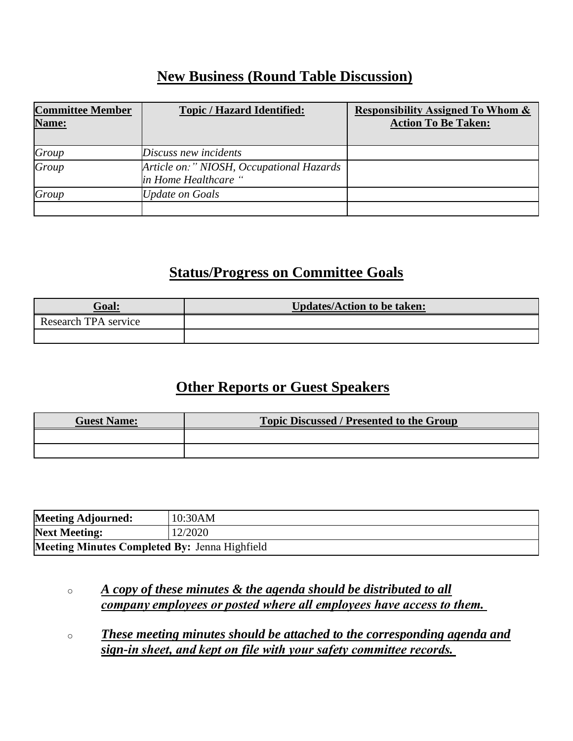### **New Business (Round Table Discussion)**

| <b>Committee Member</b><br>Name: | <b>Topic / Hazard Identified:</b>                                | <b>Responsibility Assigned To Whom &amp;</b><br><b>Action To Be Taken:</b> |
|----------------------------------|------------------------------------------------------------------|----------------------------------------------------------------------------|
| Group                            | Discuss new incidents                                            |                                                                            |
| Group                            | Article on:" NIOSH, Occupational Hazards<br>in Home Healthcare " |                                                                            |
| Group                            | Update on Goals                                                  |                                                                            |
|                                  |                                                                  |                                                                            |

## **Status/Progress on Committee Goals**

| Goal:                | <b>Updates/Action to be taken:</b> |
|----------------------|------------------------------------|
| Research TPA service |                                    |
|                      |                                    |

### **Other Reports or Guest Speakers**

| <b>Guest Name:</b> | <b>Topic Discussed / Presented to the Group</b> |  |
|--------------------|-------------------------------------------------|--|
|                    |                                                 |  |
|                    |                                                 |  |

| <b>Meeting Adjourned:</b>                            | 10:30AM |
|------------------------------------------------------|---------|
| <b>Next Meeting:</b>                                 | 12/2020 |
| <b>Meeting Minutes Completed By: Jenna Highfield</b> |         |

o *A copy of these minutes & the agenda should be distributed to all company employees or posted where all employees have access to them.*

o *These meeting minutes should be attached to the corresponding agenda and sign-in sheet, and kept on file with your safety committee records.*